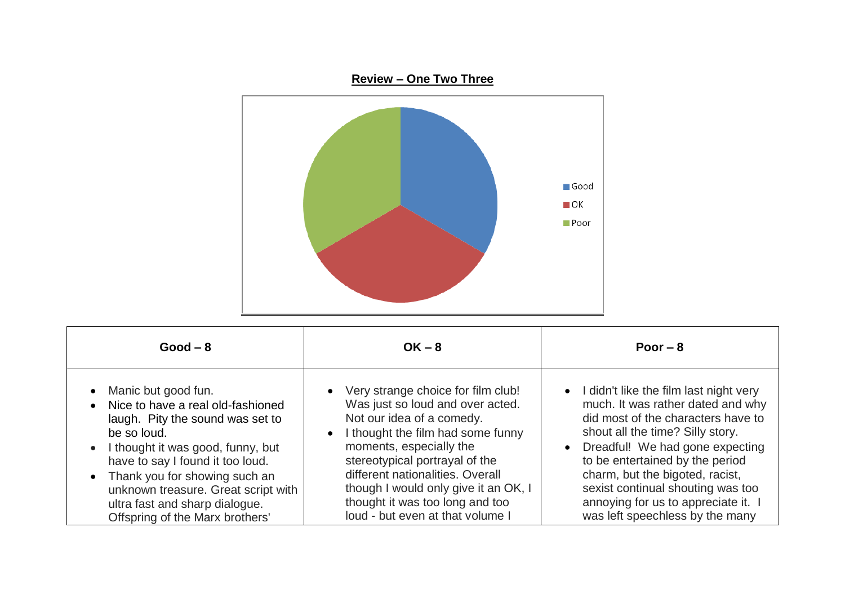

| $Good - 8$                                                                                                                                                                                                                                                                                                                            | $OK - 8$                                                                                                                                                                                                                                                                                                                                                                | Poor $-8$                                                                                                                                                                                                                                                                                                                                                                         |
|---------------------------------------------------------------------------------------------------------------------------------------------------------------------------------------------------------------------------------------------------------------------------------------------------------------------------------------|-------------------------------------------------------------------------------------------------------------------------------------------------------------------------------------------------------------------------------------------------------------------------------------------------------------------------------------------------------------------------|-----------------------------------------------------------------------------------------------------------------------------------------------------------------------------------------------------------------------------------------------------------------------------------------------------------------------------------------------------------------------------------|
| Manic but good fun.<br>Nice to have a real old-fashioned<br>laugh. Pity the sound was set to<br>be so loud.<br>• I thought it was good, funny, but<br>have to say I found it too loud.<br>• Thank you for showing such an<br>unknown treasure. Great script with<br>ultra fast and sharp dialogue.<br>Offspring of the Marx brothers' | • Very strange choice for film club!<br>Was just so loud and over acted.<br>Not our idea of a comedy.<br>I thought the film had some funny<br>$\bullet$<br>moments, especially the<br>stereotypical portrayal of the<br>different nationalities. Overall<br>though I would only give it an OK, I<br>thought it was too long and too<br>loud - but even at that volume I | • I didn't like the film last night very<br>much. It was rather dated and why<br>did most of the characters have to<br>shout all the time? Silly story.<br>• Dreadful! We had gone expecting<br>to be entertained by the period<br>charm, but the bigoted, racist,<br>sexist continual shouting was too<br>annoying for us to appreciate it. I<br>was left speechless by the many |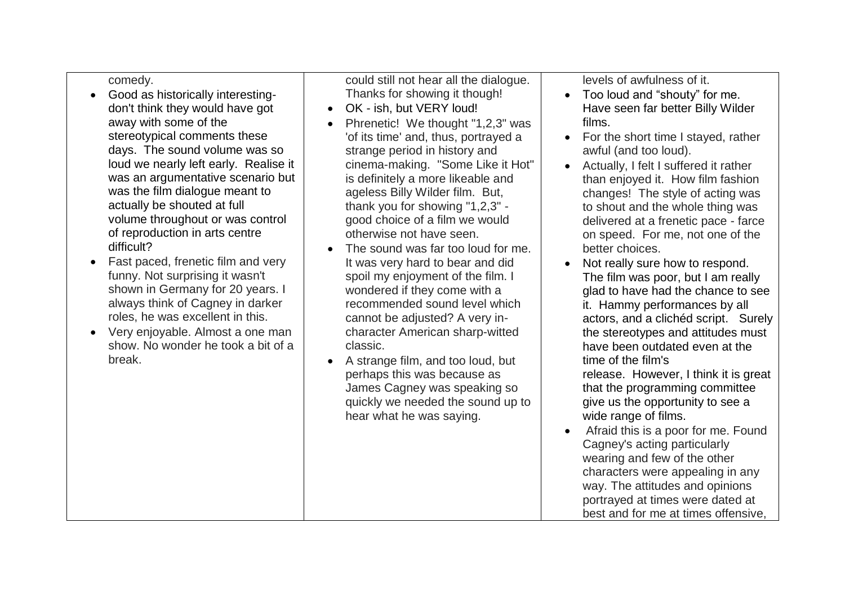## comedy.

- Good as historically interestingdon't think they would have got away with some of the stereotypical comments these days. The sound volume was so loud we nearly left early. Realise it was an argumentative scenario but was the film dialogue meant to actually be shouted at full volume throughout or was control of reproduction in arts centre difficult?
- Fast paced, frenetic film and very funny. Not surprising it wasn't shown in Germany for 20 years. I always think of Cagney in darker roles, he was excellent in this.
- Very enjoyable. Almost a one man show. No wonder he took a bit of a break.

could still not hear all the dialogue. Thanks for showing it though!

- OK ish, but VERY loud!
- Phrenetic! We thought "1,2,3" was 'of its time' and, thus, portrayed a strange period in history and cinema-making. "Some Like it Hot" is definitely a more likeable and ageless Billy Wilder film. But, thank you for showing "1,2,3" good choice of a film we would otherwise not have seen.
- The sound was far too loud for me. It was very hard to bear and did spoil my enjoyment of the film. I wondered if they come with a recommended sound level which cannot be adjusted? A very incharacter American sharp-witted classic.
- A strange film, and too loud, but perhaps this was because as James Cagney was speaking so quickly we needed the sound up to hear what he was saying.

levels of awfulness of it.

- Too loud and "shouty" for me. Have seen far better Billy Wilder films.
- For the short time I stayed, rather awful (and too loud).
- Actually, I felt I suffered it rather than enjoyed it. How film fashion changes! The style of acting was to shout and the whole thing was delivered at a frenetic pace - farce on speed. For me, not one of the better choices.
- Not really sure how to respond. The film was poor, but I am really glad to have had the chance to see it. Hammy performances by all actors, and a clichéd script. Surely the stereotypes and attitudes must have been outdated even at the time of the film's release. However, I think it is great that the programming committee give us the opportunity to see a wide range of films. Afraid this is a poor for me. Found
- Cagney's acting particularly wearing and few of the other characters were appealing in any way. The attitudes and opinions portrayed at times were dated at best and for me at times offensive,